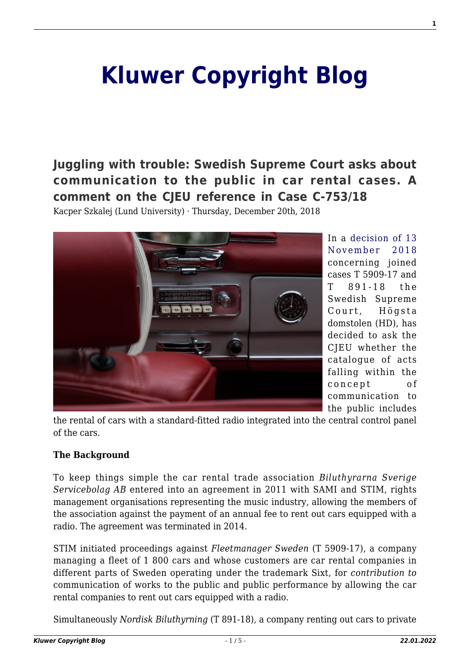# **[Kluwer Copyright Blog](http://copyrightblog.kluweriplaw.com/)**

**[Juggling with trouble: Swedish Supreme Court asks about](http://copyrightblog.kluweriplaw.com/2018/12/20/juggling-with-trouble-swedish-supreme-court-asks-about-communication-to-the-public-in-car-rental-cases-a-comment-on-the-cjeu-reference-in-case-c-75318/) [communication to the public in car rental cases. A](http://copyrightblog.kluweriplaw.com/2018/12/20/juggling-with-trouble-swedish-supreme-court-asks-about-communication-to-the-public-in-car-rental-cases-a-comment-on-the-cjeu-reference-in-case-c-75318/) [comment on the CJEU reference in Case C-753/18](http://copyrightblog.kluweriplaw.com/2018/12/20/juggling-with-trouble-swedish-supreme-court-asks-about-communication-to-the-public-in-car-rental-cases-a-comment-on-the-cjeu-reference-in-case-c-75318/)**

Kacper Szkalej (Lund University) · Thursday, December 20th, 2018



In a [decision of 13](http://copyrightblog.kluweriplaw.com/2018/12/20/juggling-with-trouble-swedish-supreme-court-asks-about-communication-to-the-public-in-car-rental-cases-a-comment-on-the-cjeu-reference-in-case-c-75318/hd-t-5909-17-aktbil-36-begaran-om-forhandsavgorande/) [November 2018](http://copyrightblog.kluweriplaw.com/2018/12/20/juggling-with-trouble-swedish-supreme-court-asks-about-communication-to-the-public-in-car-rental-cases-a-comment-on-the-cjeu-reference-in-case-c-75318/hd-t-5909-17-aktbil-36-begaran-om-forhandsavgorande/) concerning joined cases T 5909-17 and T 891-18 the Swedish Supreme Court, Högsta domstolen (HD), has decided to ask the CJEU whether the catalogue of acts falling within the concept of communication to the public includes

the rental of cars with a standard-fitted radio integrated into the central control panel of the cars.

### **The Background**

To keep things simple the car rental trade association *Biluthyrarna Sverige Servicebolag AB* entered into an agreement in 2011 with SAMI and STIM, rights management organisations representing the music industry, allowing the members of the association against the payment of an annual fee to rent out cars equipped with a radio. The agreement was terminated in 2014.

STIM initiated proceedings against *Fleetmanager Sweden* (T 5909-17), a company managing a fleet of 1 800 cars and whose customers are car rental companies in different parts of Sweden operating under the trademark Sixt, for *contribution to* communication of works to the public and public performance by allowing the car rental companies to rent out cars equipped with a radio.

Simultaneously *Nordisk Biluthyrning* (T 891-18), a company renting out cars to private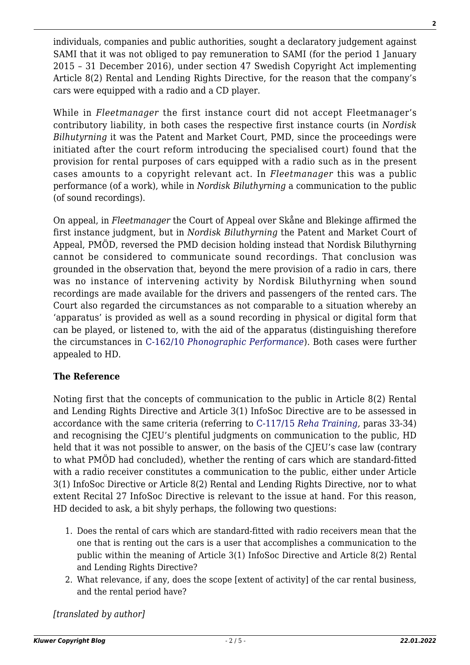individuals, companies and public authorities, sought a declaratory judgement against SAMI that it was not obliged to pay remuneration to SAMI (for the period 1 January 2015 – 31 December 2016), under section 47 Swedish Copyright Act implementing Article 8(2) Rental and Lending Rights Directive, for the reason that the company's cars were equipped with a radio and a CD player.

While in *Fleetmanager* the first instance court did not accept Fleetmanager's contributory liability, in both cases the respective first instance courts (in *Nordisk Bilhutyrning* it was the Patent and Market Court, PMD, since the proceedings were initiated after the court reform introducing the specialised court) found that the provision for rental purposes of cars equipped with a radio such as in the present cases amounts to a copyright relevant act. In *Fleetmanager* this was a public performance (of a work), while in *Nordisk Biluthyrning* a communication to the public (of sound recordings).

On appeal, in *Fleetmanager* the Court of Appeal over Skåne and Blekinge affirmed the first instance judgment, but in *Nordisk Biluthyrning* the Patent and Market Court of Appeal, PMÖD, reversed the PMD decision holding instead that Nordisk Biluthyrning cannot be considered to communicate sound recordings. That conclusion was grounded in the observation that, beyond the mere provision of a radio in cars, there was no instance of intervening activity by Nordisk Biluthyrning when sound recordings are made available for the drivers and passengers of the rented cars. The Court also regarded the circumstances as not comparable to a situation whereby an 'apparatus' is provided as well as a sound recording in physical or digital form that can be played, or listened to, with the aid of the apparatus (distinguishing therefore the circumstances in [C-162/10](http://curia.europa.eu/juris/liste.jsf?num=C-162/10&language=EN) *[Phonographic Performance](http://curia.europa.eu/juris/liste.jsf?num=C-162/10&language=EN)*). Both cases were further appealed to HD.

## **The Reference**

Noting first that the concepts of communication to the public in Article 8(2) Rental and Lending Rights Directive and Article 3(1) InfoSoc Directive are to be assessed in accordance with the same criteria (referring to [C-117/15](http://curia.europa.eu/juris/liste.jsf?num=C-117/15) *[Reha Training](http://curia.europa.eu/juris/liste.jsf?num=C-117/15),* paras 33-34) and recognising the CJEU's plentiful judgments on communication to the public, HD held that it was not possible to answer, on the basis of the CJEU's case law (contrary to what PMÖD had concluded), whether the renting of cars which are standard-fitted with a radio receiver constitutes a communication to the public, either under Article 3(1) InfoSoc Directive or Article 8(2) Rental and Lending Rights Directive, nor to what extent Recital 27 InfoSoc Directive is relevant to the issue at hand. For this reason, HD decided to ask, a bit shyly perhaps, the following two questions:

- 1. Does the rental of cars which are standard-fitted with radio receivers mean that the one that is renting out the cars is a user that accomplishes a communication to the public within the meaning of Article 3(1) InfoSoc Directive and Article 8(2) Rental and Lending Rights Directive?
- 2. What relevance, if any, does the scope [extent of activity] of the car rental business, and the rental period have?

*[translated by author]*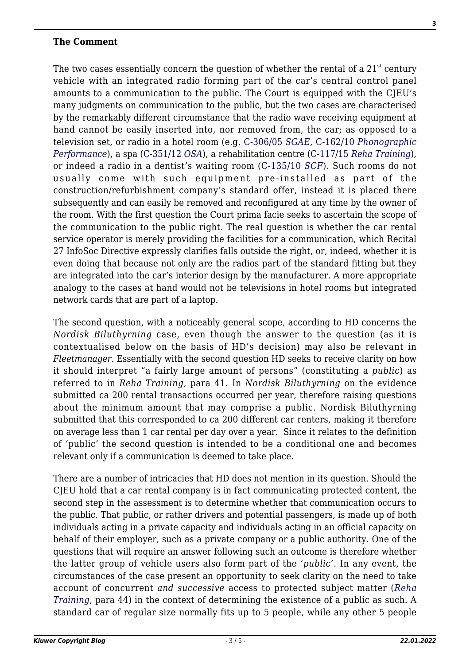#### **The Comment**

The two cases essentially concern the question of whether the rental of a  $21<sup>st</sup>$  century vehicle with an integrated radio forming part of the car's central control panel amounts to a communication to the public. The Court is equipped with the CJEU's many judgments on communication to the public, but the two cases are characterised by the remarkably different circumstance that the radio wave receiving equipment at hand cannot be easily inserted into, nor removed from, the car; as opposed to a television set, or radio in a hotel room (e.g. [C-306/05](http://curia.europa.eu/juris/liste.jsf?num=C-306/05) *[SGAE](http://curia.europa.eu/juris/liste.jsf?num=C-306/05)*, [C-162/10](http://curia.europa.eu/juris/liste.jsf?num=C-162/10&language=EN) *[Phonographic](http://curia.europa.eu/juris/liste.jsf?num=C-162/10&language=EN) [Performance](http://curia.europa.eu/juris/liste.jsf?num=C-162/10&language=EN)*), a spa ([C-351/12](http://curia.europa.eu/juris/documents.jsf?num=C-351/12) *[OSA](http://curia.europa.eu/juris/documents.jsf?num=C-351/12)*), a rehabilitation centre ([C-117/15](http://curia.europa.eu/juris/liste.jsf?num=C-117/15) *[Reha Training](http://curia.europa.eu/juris/liste.jsf?num=C-117/15)*), or indeed a radio in a dentist's waiting room ([C‑135/10](http://curia.europa.eu/juris/liste.jsf?num=C-135/10&language=EN) *[SCF](http://curia.europa.eu/juris/liste.jsf?num=C-135/10&language=EN)*). Such rooms do not usually come with such equipment pre-installed as part of the construction/refurbishment company's standard offer, instead it is placed there subsequently and can easily be removed and reconfigured at any time by the owner of the room. With the first question the Court prima facie seeks to ascertain the scope of the communication to the public right. The real question is whether the car rental service operator is merely providing the facilities for a communication, which Recital 27 InfoSoc Directive expressly clarifies falls outside the right, or, indeed, whether it is even doing that because not only are the radios part of the standard fitting but they are integrated into the car's interior design by the manufacturer. A more appropriate analogy to the cases at hand would not be televisions in hotel rooms but integrated network cards that are part of a laptop.

The second question, with a noticeably general scope, according to HD concerns the *Nordisk Biluthyrning* case, even though the answer to the question (as it is contextualised below on the basis of HD's decision) may also be relevant in *Fleetmanager*. Essentially with the second question HD seeks to receive clarity on how it should interpret "a fairly large amount of persons" (constituting a *public*) as referred to in *Reha Training*, para 41. In *Nordisk Biluthyrning* on the evidence submitted ca 200 rental transactions occurred per year, therefore raising questions about the minimum amount that may comprise a public. Nordisk Biluthyrning submitted that this corresponded to ca 200 different car renters, making it therefore on average less than 1 car rental per day over a year. Since it relates to the definition of 'public' the second question is intended to be a conditional one and becomes relevant only if a communication is deemed to take place.

There are a number of intricacies that HD does not mention in its question. Should the CJEU hold that a car rental company is in fact communicating protected content, the second step in the assessment is to determine whether that communication occurs to the public. That public, or rather drivers and potential passengers, is made up of both individuals acting in a private capacity and individuals acting in an official capacity on behalf of their employer, such as a private company or a public authority. One of the questions that will require an answer following such an outcome is therefore whether the latter group of vehicle users also form part of the '*public'*. In any event, the circumstances of the case present an opportunity to seek clarity on the need to take account of concurrent *and successive* access to protected subject matter (*[Reha](http://curia.europa.eu/juris/liste.jsf?num=C-117/15) [Training](http://curia.europa.eu/juris/liste.jsf?num=C-117/15)*, para 44) in the context of determining the existence of a public as such. A standard car of regular size normally fits up to 5 people, while any other 5 people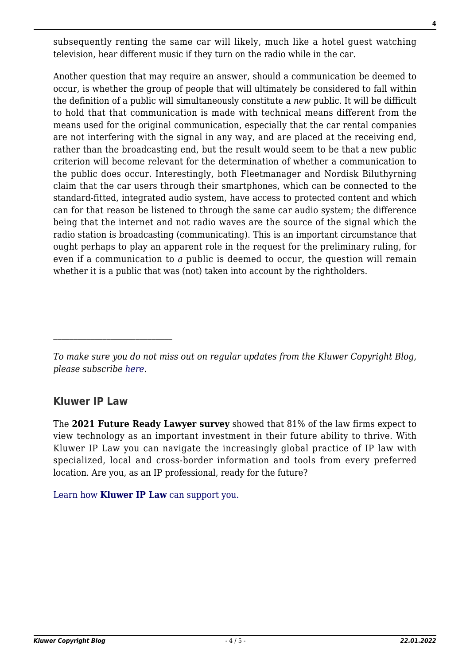subsequently renting the same car will likely, much like a hotel guest watching television, hear different music if they turn on the radio while in the car.

Another question that may require an answer, should a communication be deemed to occur, is whether the group of people that will ultimately be considered to fall within the definition of a public will simultaneously constitute a *new* public. It will be difficult to hold that that communication is made with technical means different from the means used for the original communication, especially that the car rental companies are not interfering with the signal in any way, and are placed at the receiving end, rather than the broadcasting end, but the result would seem to be that a new public criterion will become relevant for the determination of whether a communication to the public does occur. Interestingly, both Fleetmanager and Nordisk Biluthyrning claim that the car users through their smartphones, which can be connected to the standard-fitted, integrated audio system, have access to protected content and which can for that reason be listened to through the same car audio system; the difference being that the internet and not radio waves are the source of the signal which the radio station is broadcasting (communicating). This is an important circumstance that ought perhaps to play an apparent role in the request for the preliminary ruling, for even if a communication to *a* public is deemed to occur, the question will remain whether it is a public that was (not) taken into account by the rightholders.

## **Kluwer IP Law**

The **2021 Future Ready Lawyer survey** showed that 81% of the law firms expect to view technology as an important investment in their future ability to thrive. With Kluwer IP Law you can navigate the increasingly global practice of IP law with specialized, local and cross-border information and tools from every preferred location. Are you, as an IP professional, ready for the future?

[Learn how](https://www.wolterskluwer.com/en/solutions/kluweriplaw?utm_source=copyrightnblog&utm_medium=articleCTA&utm_campaign=article-banner) **[Kluwer IP Law](https://www.wolterskluwer.com/en/solutions/kluweriplaw?utm_source=copyrightnblog&utm_medium=articleCTA&utm_campaign=article-banner)** [can support you.](https://www.wolterskluwer.com/en/solutions/kluweriplaw?utm_source=copyrightnblog&utm_medium=articleCTA&utm_campaign=article-banner)

*To make sure you do not miss out on regular updates from the Kluwer Copyright Blog, please subscribe [here.](http://copyrightblog.kluweriplaw.com/newsletter)*